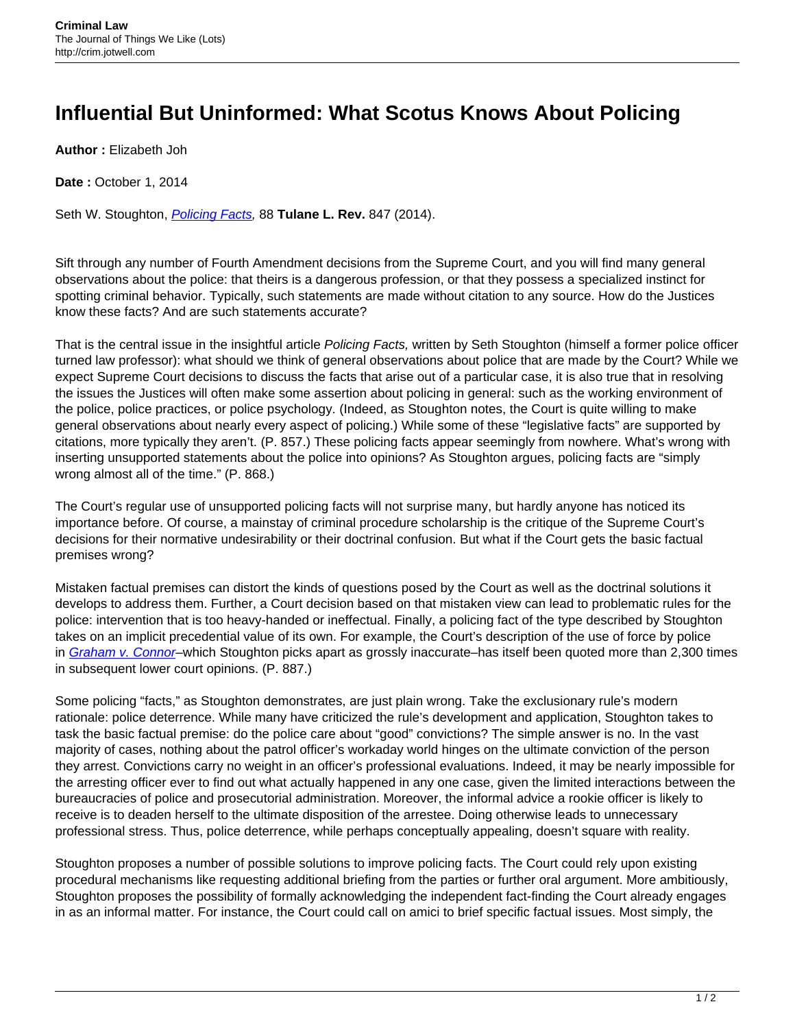## **Influential But Uninformed: What Scotus Knows About Policing**

**Author :** Elizabeth Joh

**Date: October 1, 2014** 

Seth W. Stoughton, *[Policing Facts](http://ssrn.com/abstract=2314632)*, 88 Tulane L. Rev. 847 (2014).

Sift through any number of Fourth Amendment decisions from the Supreme Court, and you will find many general observations about the police: that theirs is a dangerous profession, or that they possess a specialized instinct for spotting criminal behavior. Typically, such statements are made without citation to any source. How do the Justices know these facts? And are such statements accurate?

That is the central issue in the insightful article Policing Facts, written by Seth Stoughton (himself a former police officer turned law professor): what should we think of general observations about police that are made by the Court? While we expect Supreme Court decisions to discuss the facts that arise out of a particular case, it is also true that in resolving the issues the Justices will often make some assertion about policing in general: such as the working environment of the police, police practices, or police psychology. (Indeed, as Stoughton notes, the Court is quite willing to make general observations about nearly every aspect of policing.) While some of these "legislative facts" are supported by citations, more typically they aren't. (P. 857.) These policing facts appear seemingly from nowhere. What's wrong with inserting unsupported statements about the police into opinions? As Stoughton argues, policing facts are "simply wrong almost all of the time." (P. 868.)

The Court's regular use of unsupported policing facts will not surprise many, but hardly anyone has noticed its importance before. Of course, a mainstay of criminal procedure scholarship is the critique of the Supreme Court's decisions for their normative undesirability or their doctrinal confusion. But what if the Court gets the basic factual premises wrong?

Mistaken factual premises can distort the kinds of questions posed by the Court as well as the doctrinal solutions it develops to address them. Further, a Court decision based on that mistaken view can lead to problematic rules for the police: intervention that is too heavy-handed or ineffectual. Finally, a policing fact of the type described by Stoughton takes on an implicit precedential value of its own. For example, the Court's description of the use of force by police in [Graham v. Connor](https://supreme.justia.com/cases/federal/us/490/386/case.html)-which Stoughton picks apart as grossly inaccurate-has itself been quoted more than 2,300 times in subsequent lower court opinions. (P. 887.)

Some policing "facts," as Stoughton demonstrates, are just plain wrong. Take the exclusionary rule's modern rationale: police deterrence. While many have criticized the rule's development and application, Stoughton takes to task the basic factual premise: do the police care about "good" convictions? The simple answer is no. In the vast majority of cases, nothing about the patrol officer's workaday world hinges on the ultimate conviction of the person they arrest. Convictions carry no weight in an officer's professional evaluations. Indeed, it may be nearly impossible for the arresting officer ever to find out what actually happened in any one case, given the limited interactions between the bureaucracies of police and prosecutorial administration. Moreover, the informal advice a rookie officer is likely to receive is to deaden herself to the ultimate disposition of the arrestee. Doing otherwise leads to unnecessary professional stress. Thus, police deterrence, while perhaps conceptually appealing, doesn't square with reality.

Stoughton proposes a number of possible solutions to improve policing facts. The Court could rely upon existing procedural mechanisms like requesting additional briefing from the parties or further oral argument. More ambitiously, Stoughton proposes the possibility of formally acknowledging the independent fact-finding the Court already engages in as an informal matter. For instance, the Court could call on amici to brief specific factual issues. Most simply, the